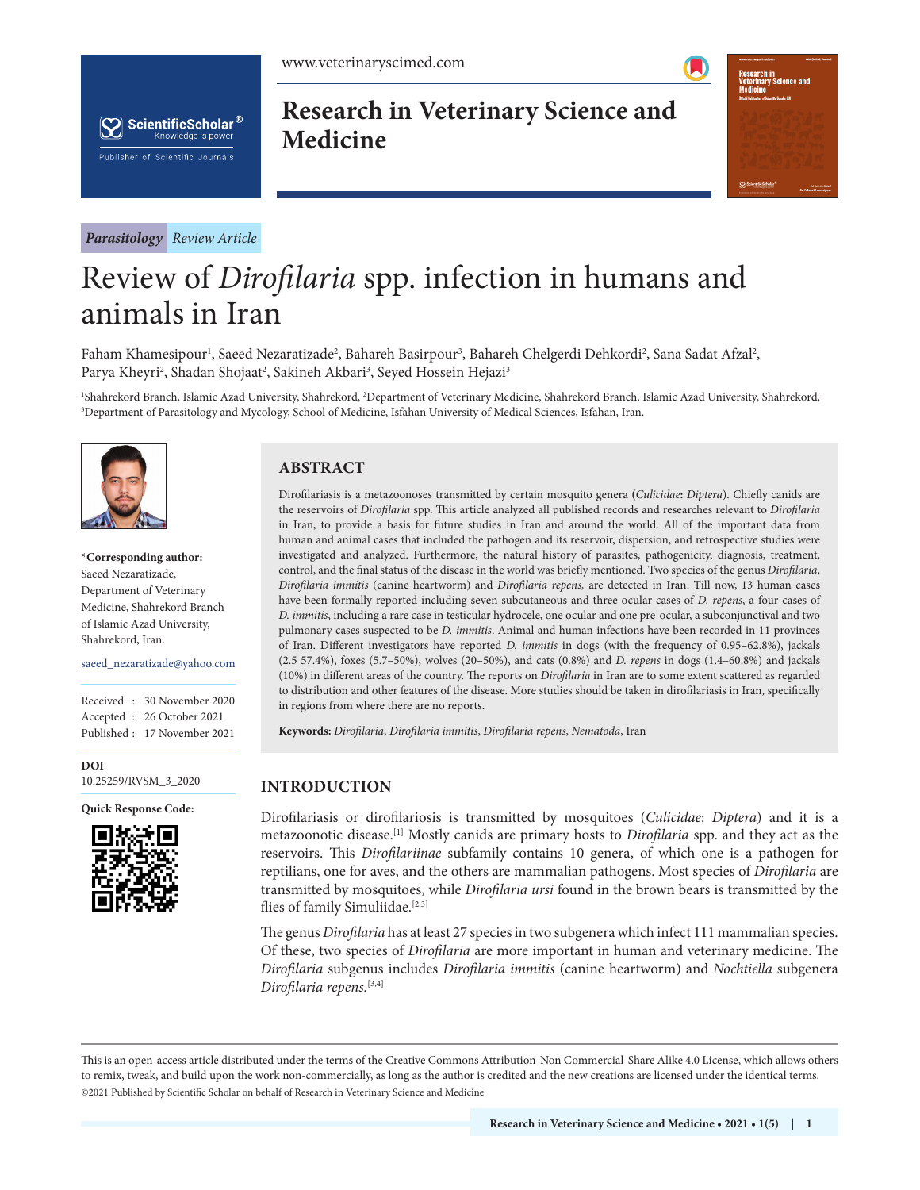



*Parasitology Review Article*

# **Research in Veterinary Science and Medicine**



# Review of *Dirofilaria* spp. infection in humans and animals in Iran

Faham Khamesipour<sup>ı</sup>, Saeed Nezaratizade<sup>2</sup>, Bahareh Basirpour<sup>3</sup>, Bahareh Chelgerdi Dehkordi<sup>2</sup>, Sana Sadat Afzal<sup>2</sup>, Parya Kheyri<sup>2</sup>, Shadan Shojaat<sup>2</sup>, Sakineh Akbari<sup>3</sup>, Seyed Hossein Hejazi<sup>3</sup>

<sup>1</sup>Shahrekord Branch, Islamic Azad University, Shahrekord, <sup>2</sup>Department of Veterinary Medicine, Shahrekord Branch, Islamic Azad University, Shahrekord,<br><sup>3</sup>Department of Parasitology and Mycology, School of Medicine, Isfah <sup>3</sup>Department of Parasitology and Mycology, School of Medicine, Isfahan University of Medical Sciences, Isfahan, Iran.



**\*Corresponding author:**  Saeed Nezaratizade, Department of Veterinary Medicine, Shahrekord Branch of Islamic Azad University, Shahrekord, Iran.

saeed\_nezaratizade@yahoo.com

Received : 30 November 2020 Accepted : 26 October 2021 Published : 17 November 2021

**DOI** [10.25259/RVSM\\_3\\_2020](https://dx.doi.org/10.25259/RVSM_3_2020)

**Quick Response Code:**



# **ABSTRACT**

Dirofilariasis is a metazoonoses transmitted by certain mosquito genera **(***Culicidae***:** *Diptera*). Chiefly canids are the reservoirs of *Dirofilaria* spp. This article analyzed all published records and researches relevant to *Dirofilaria* in Iran, to provide a basis for future studies in Iran and around the world. All of the important data from human and animal cases that included the pathogen and its reservoir, dispersion, and retrospective studies were investigated and analyzed. Furthermore, the natural history of parasites, pathogenicity, diagnosis, treatment, control, and the final status of the disease in the world was briefly mentioned. Two species of the genus *Dirofilaria*, *Dirofilaria immitis* (canine heartworm) and *Dirofilaria repens,* are detected in Iran. Till now, 13 human cases have been formally reported including seven subcutaneous and three ocular cases of *D. repens*, a four cases of *D. immitis*, including a rare case in testicular hydrocele, one ocular and one pre-ocular, a subconjunctival and two pulmonary cases suspected to be *D. immitis*. Animal and human infections have been recorded in 11 provinces of Iran. Different investigators have reported *D. immitis* in dogs (with the frequency of 0.95–62.8%), jackals (2.5 57.4%), foxes (5.7–50%), wolves (20–50%), and cats (0.8%) and *D. repens* in dogs (1.4–60.8%) and jackals (10%) in different areas of the country. The reports on *Dirofilaria* in Iran are to some extent scattered as regarded to distribution and other features of the disease. More studies should be taken in dirofilariasis in Iran, specifically in regions from where there are no reports.

**Keywords:** *Dirofilaria*, *Dirofilaria immitis*, *Dirofilaria repens*, *Nematoda*, Iran

# **INTRODUCTION**

Dirofilariasis or dirofilariosis is transmitted by mosquitoes (*Culicidae*: *Diptera*) and it is a metazoonotic disease.[1] Mostly canids are primary hosts to *Dirofilaria* spp. and they act as the reservoirs. This *Dirofilariinae* subfamily contains 10 genera, of which one is a pathogen for reptilians, one for aves, and the others are mammalian pathogens. Most species of *Dirofilaria* are transmitted by mosquitoes, while *Dirofilaria ursi* found in the brown bears is transmitted by the flies of family Simuliidae.<sup>[2,3]</sup>

The genus *Dirofilaria* has at least 27 species in two subgenera which infect 111 mammalian species. Of these, two species of *Dirofilaria* are more important in human and veterinary medicine. The *Dirofilaria* subgenus includes *Dirofilaria immitis* (canine heartworm) and *Nochtiella* subgenera *Dirofilaria repens.*[3,4]

is is an open-access article distributed under the terms of the Creative Commons Attribution-Non Commercial-Share Alike 4.0 License, which allows others to remix, tweak, and build upon the work non-commercially, as long as the author is credited and the new creations are licensed under the identical terms. ©2021 Published by Scientific Scholar on behalf of Research in Veterinary Science and Medicine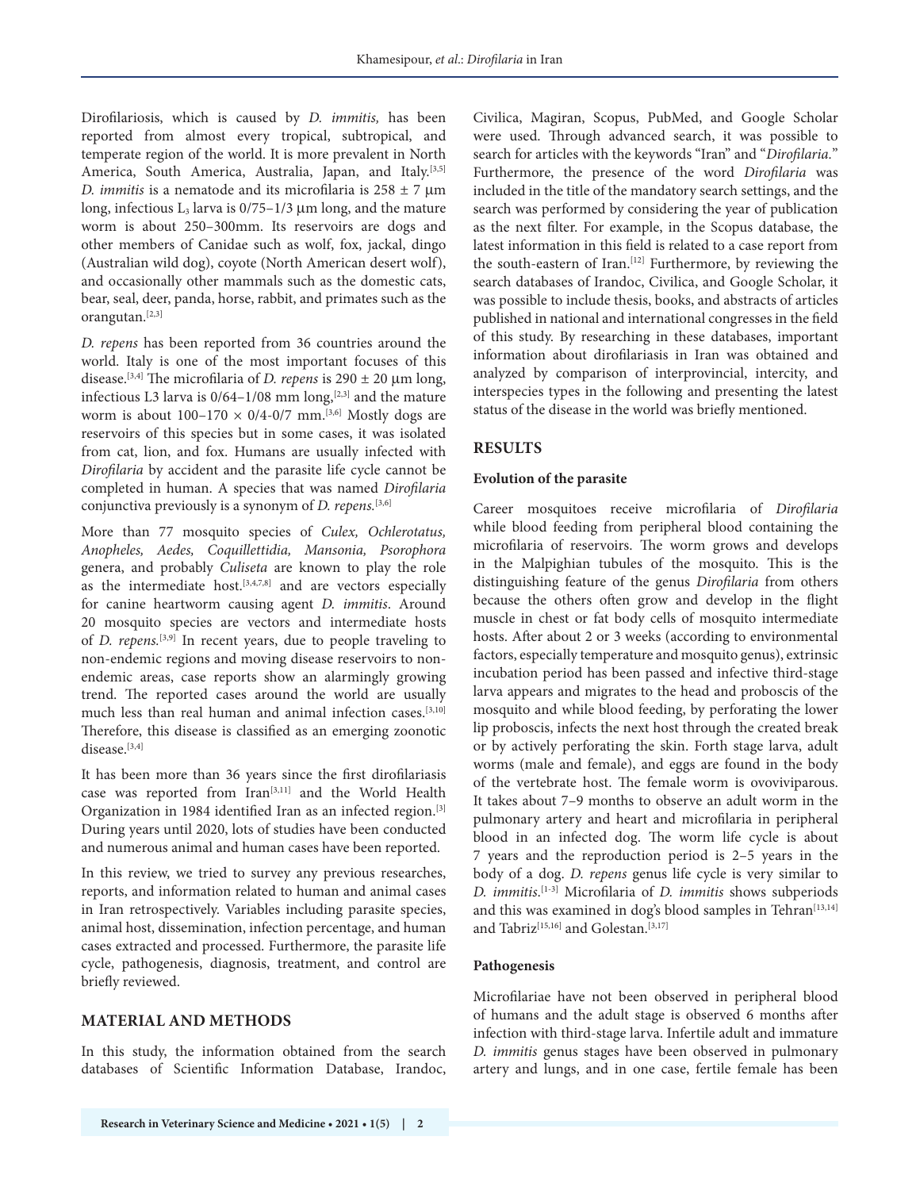Dirofilariosis, which is caused by *D. immitis,* has been reported from almost every tropical, subtropical, and temperate region of the world. It is more prevalent in North America, South America, Australia, Japan, and Italy.<sup>[3,5]</sup> *D. immitis* is a nematode and its microfilaria is 258 ± 7 µm long, infectious  $L_3$  larva is  $0/75-1/3$  µm long, and the mature worm is about 250–300mm. Its reservoirs are dogs and other members of Canidae such as wolf, fox, jackal, dingo (Australian wild dog), coyote (North American desert wolf), and occasionally other mammals such as the domestic cats, bear, seal, deer, panda, horse, rabbit, and primates such as the orangutan.[2,3]

*D. repens* has been reported from 36 countries around the world. Italy is one of the most important focuses of this disease.[3,4] The microfilaria of *D. repens* is 290 ± 20 µm long, infectious L3 larva is  $0/64-1/08$  mm long,<sup>[2,3]</sup> and the mature worm is about  $100-170 \times 0/4$ -0/7 mm.<sup>[3,6]</sup> Mostly dogs are reservoirs of this species but in some cases, it was isolated from cat, lion, and fox. Humans are usually infected with *Dirofilaria* by accident and the parasite life cycle cannot be completed in human. A species that was named *Dirofilaria* conjunctiva previously is a synonym of *D. repens.*[3,6]

More than 77 mosquito species of *Culex, Ochlerotatus, Anopheles, Aedes, Coquillettidia, Mansonia, Psorophora* genera, and probably *Culiseta* are known to play the role as the intermediate host. $[3,4,7,8]$  and are vectors especially for canine heartworm causing agent *D. immitis*. Around 20 mosquito species are vectors and intermediate hosts of *D. repens.*[3,9] In recent years, due to people traveling to non-endemic regions and moving disease reservoirs to nonendemic areas, case reports show an alarmingly growing trend. The reported cases around the world are usually much less than real human and animal infection cases.[3,10] Therefore, this disease is classified as an emerging zoonotic disease.<sup>[3,4]</sup>

It has been more than 36 years since the first dirofilariasis case was reported from Iran<sup>[3,11]</sup> and the World Health Organization in 1984 identified Iran as an infected region.<sup>[3]</sup> During years until 2020, lots of studies have been conducted and numerous animal and human cases have been reported.

In this review, we tried to survey any previous researches, reports, and information related to human and animal cases in Iran retrospectively. Variables including parasite species, animal host, dissemination, infection percentage, and human cases extracted and processed. Furthermore, the parasite life cycle, pathogenesis, diagnosis, treatment, and control are briefly reviewed.

# **MATERIAL AND METHODS**

In this study, the information obtained from the search databases of Scientific Information Database, Irandoc, Civilica, Magiran, Scopus, PubMed, and Google Scholar were used. Through advanced search, it was possible to search for articles with the keywords "Iran" and "*Dirofilaria.*" Furthermore, the presence of the word *Dirofilaria* was included in the title of the mandatory search settings, and the search was performed by considering the year of publication as the next filter. For example, in the Scopus database, the latest information in this field is related to a case report from the south-eastern of Iran.<sup>[12]</sup> Furthermore, by reviewing the search databases of Irandoc, Civilica, and Google Scholar, it was possible to include thesis, books, and abstracts of articles published in national and international congresses in the field of this study. By researching in these databases, important information about dirofilariasis in Iran was obtained and analyzed by comparison of interprovincial, intercity, and interspecies types in the following and presenting the latest status of the disease in the world was briefly mentioned.

# **RESULTS**

#### **Evolution of the parasite**

Career mosquitoes receive microfilaria of *Dirofilaria*  while blood feeding from peripheral blood containing the microfilaria of reservoirs. The worm grows and develops in the Malpighian tubules of the mosquito. This is the distinguishing feature of the genus *Dirofilaria* from others because the others often grow and develop in the flight muscle in chest or fat body cells of mosquito intermediate hosts. After about 2 or 3 weeks (according to environmental factors, especially temperature and mosquito genus), extrinsic incubation period has been passed and infective third-stage larva appears and migrates to the head and proboscis of the mosquito and while blood feeding, by perforating the lower lip proboscis, infects the next host through the created break or by actively perforating the skin. Forth stage larva, adult worms (male and female), and eggs are found in the body of the vertebrate host. The female worm is ovoviviparous. It takes about 7–9 months to observe an adult worm in the pulmonary artery and heart and microfilaria in peripheral blood in an infected dog. The worm life cycle is about 7 years and the reproduction period is 2–5 years in the body of a dog. *D. repens* genus life cycle is very similar to *D. immitis*. [1-3] Microfilaria of *D. immitis* shows subperiods and this was examined in dog's blood samples in Tehran<sup>[13,14]</sup> and Tabriz<sup>[15,16]</sup> and Golestan.<sup>[3,17]</sup>

#### **Pathogenesis**

Microfilariae have not been observed in peripheral blood of humans and the adult stage is observed 6 months after infection with third-stage larva. Infertile adult and immature *D. immitis* genus stages have been observed in pulmonary artery and lungs, and in one case, fertile female has been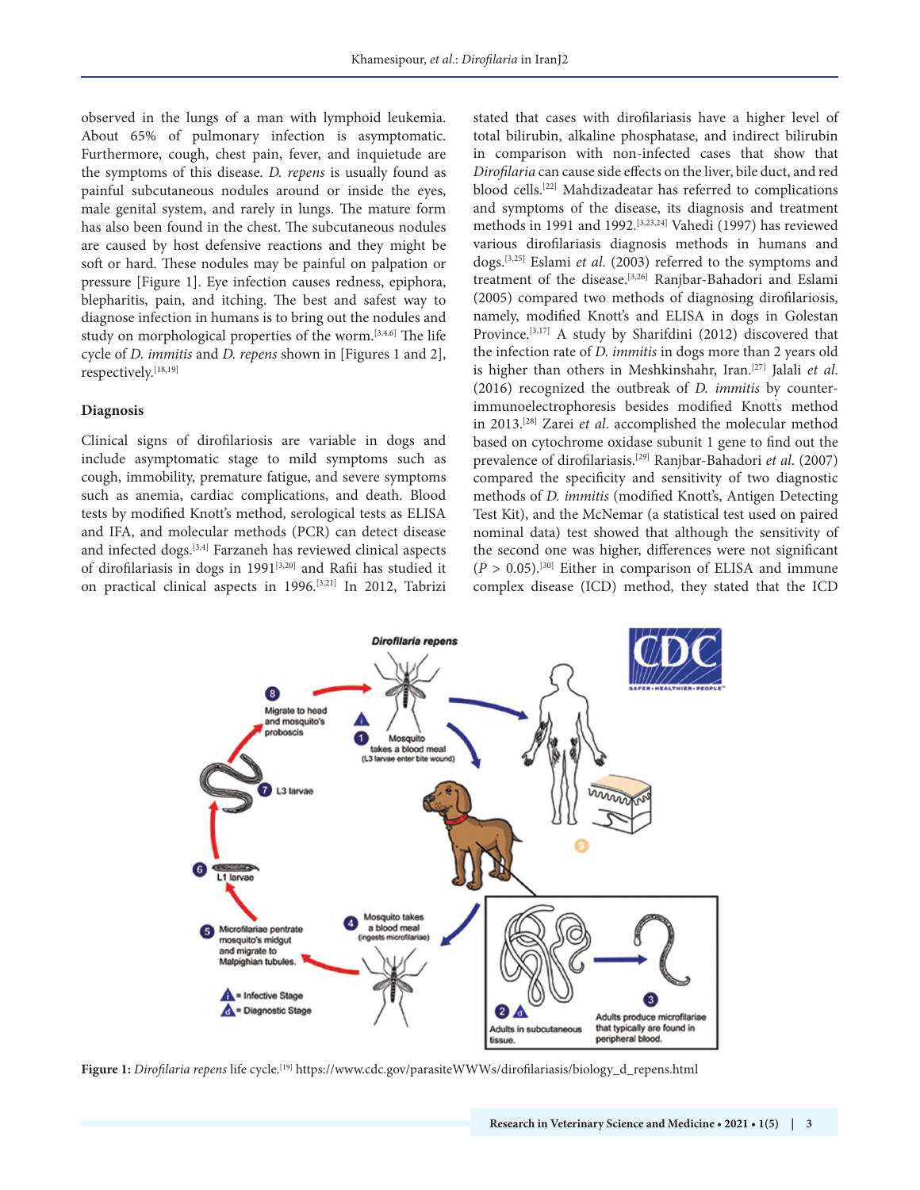observed in the lungs of a man with lymphoid leukemia. About 65% of pulmonary infection is asymptomatic. Furthermore, cough, chest pain, fever, and inquietude are the symptoms of this disease. *D. repens* is usually found as painful subcutaneous nodules around or inside the eyes, male genital system, and rarely in lungs. The mature form has also been found in the chest. The subcutaneous nodules are caused by host defensive reactions and they might be soft or hard. These nodules may be painful on palpation or pressure [Figure 1]. Eye infection causes redness, epiphora, blepharitis, pain, and itching. The best and safest way to diagnose infection in humans is to bring out the nodules and study on morphological properties of the worm.[3,4,6] The life cycle of *D. immitis* and *D. repens* shown in [Figures 1 and 2], respectively.[18,19]

#### **Diagnosis**

Clinical signs of dirofilariosis are variable in dogs and include asymptomatic stage to mild symptoms such as cough, immobility, premature fatigue, and severe symptoms such as anemia, cardiac complications, and death. Blood tests by modified Knott's method, serological tests as ELISA and IFA, and molecular methods (PCR) can detect disease and infected dogs.[3,4] Farzaneh has reviewed clinical aspects of dirofilariasis in dogs in 1991<sup>[3,20]</sup> and Rafii has studied it on practical clinical aspects in 1996.[3,21] In 2012, Tabrizi stated that cases with dirofilariasis have a higher level of total bilirubin, alkaline phosphatase, and indirect bilirubin in comparison with non-infected cases that show that *Dirofilaria* can cause side effects on the liver, bile duct, and red blood cells.[22] Mahdizadeatar has referred to complications and symptoms of the disease, its diagnosis and treatment methods in 1991 and 1992.[3,23,24] Vahedi (1997) has reviewed various dirofilariasis diagnosis methods in humans and dogs.[3,25] Eslami *et al*. (2003) referred to the symptoms and treatment of the disease.[3,26] Ranjbar-Bahadori and Eslami (2005) compared two methods of diagnosing dirofilariosis, namely, modified Knott's and ELISA in dogs in Golestan Province.<sup>[3,17]</sup> A study by Sharifdini (2012) discovered that the infection rate of *D. immitis* in dogs more than 2 years old is higher than others in Meshkinshahr, Iran.[27] Jalali *et al*. (2016) recognized the outbreak of *D. immitis* by counterimmunoelectrophoresis besides modified Knott' s method in 2013.[28] Zarei *et al*. accomplished the molecular method based on cytochrome oxidase subunit 1 gene to find out the prevalence of dirofilariasis.[29] Ranjbar-Bahadori *et al*. (2007) compared the specificity and sensitivity of two diagnostic methods of *D. immitis* (modified Knott's, Antigen Detecting Test Kit), and the McNemar (a statistical test used on paired nominal data) test showed that although the sensitivity of the second one was higher, differences were not significant  $(P > 0.05)$ .<sup>[30]</sup> Either in comparison of ELISA and immune complex disease (ICD) method, they stated that the ICD



**Figure 1:** *Dirofilaria repens* life cycle.[19] https://www.cdc.gov/parasiteWWWs/dirofilariasis/biology\_d\_repens.html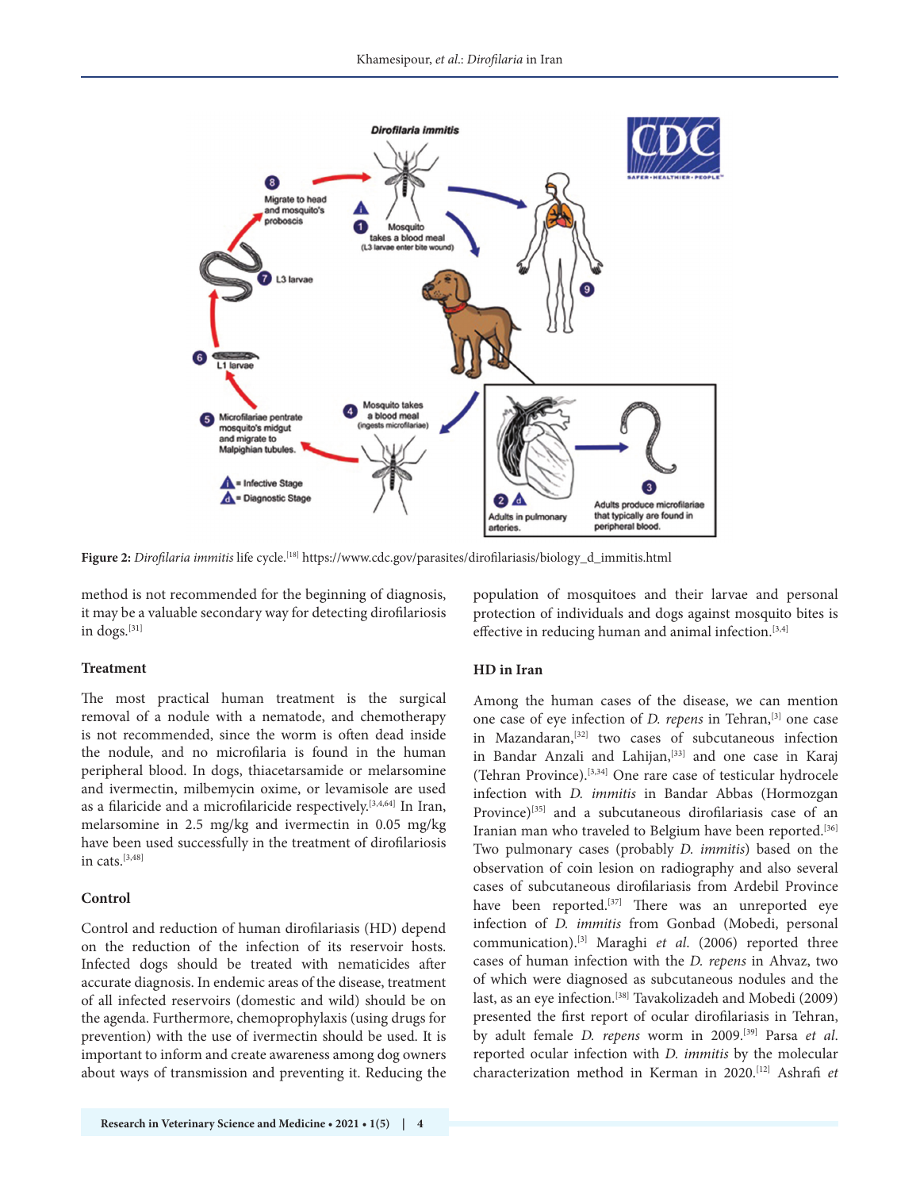

**Figure 2:** *Dirofilaria immitis* life cycle.[18] https://www.cdc.gov/parasites/dirofilariasis/biology\_d\_immitis.html

method is not recommended for the beginning of diagnosis, it may be a valuable secondary way for detecting dirofilariosis in dogs.[31]

## **Treatment**

The most practical human treatment is the surgical removal of a nodule with a nematode, and chemotherapy is not recommended, since the worm is often dead inside the nodule, and no microfilaria is found in the human peripheral blood. In dogs, thiacetarsamide or melarsomine and ivermectin, milbemycin oxime, or levamisole are used as a filaricide and a microfilaricide respectively.[3,4,64] In Iran, melarsomine in 2.5 mg/kg and ivermectin in 0.05 mg/kg have been used successfully in the treatment of dirofilariosis in cats.[3,48]

#### **Control**

Control and reduction of human dirofilariasis (HD) depend on the reduction of the infection of its reservoir hosts. Infected dogs should be treated with nematicides after accurate diagnosis. In endemic areas of the disease, treatment of all infected reservoirs (domestic and wild) should be on the agenda. Furthermore, chemoprophylaxis (using drugs for prevention) with the use of ivermectin should be used. It is important to inform and create awareness among dog owners about ways of transmission and preventing it. Reducing the population of mosquitoes and their larvae and personal protection of individuals and dogs against mosquito bites is effective in reducing human and animal infection.<sup>[3,4]</sup>

#### **HD in Iran**

Among the human cases of the disease, we can mention one case of eye infection of *D. repens* in Tehran,[3] one case in Mazandaran,<sup>[32]</sup> two cases of subcutaneous infection in Bandar Anzali and Lahijan,<sup>[33]</sup> and one case in Karaj (Tehran Province).[3,34] One rare case of testicular hydrocele infection with *D. immitis* in Bandar Abbas (Hormozgan Province)<sup>[35]</sup> and a subcutaneous dirofilariasis case of an Iranian man who traveled to Belgium have been reported.<sup>[36]</sup> Two pulmonary cases (probably *D. immitis*) based on the observation of coin lesion on radiography and also several cases of subcutaneous dirofilariasis from Ardebil Province have been reported.<sup>[37]</sup> There was an unreported eye infection of *D. immitis* from Gonbad (Mobedi, personal communication).[3] Maraghi *et al*. (2006) reported three cases of human infection with the *D. repens* in Ahvaz, two of which were diagnosed as subcutaneous nodules and the last, as an eye infection.<sup>[38]</sup> Tavakolizadeh and Mobedi (2009) presented the first report of ocular dirofilariasis in Tehran, by adult female *D. repens* worm in 2009.[39] Parsa *et al*. reported ocular infection with *D. immitis* by the molecular characterization method in Kerman in 2020.[12] Ashrafi *et*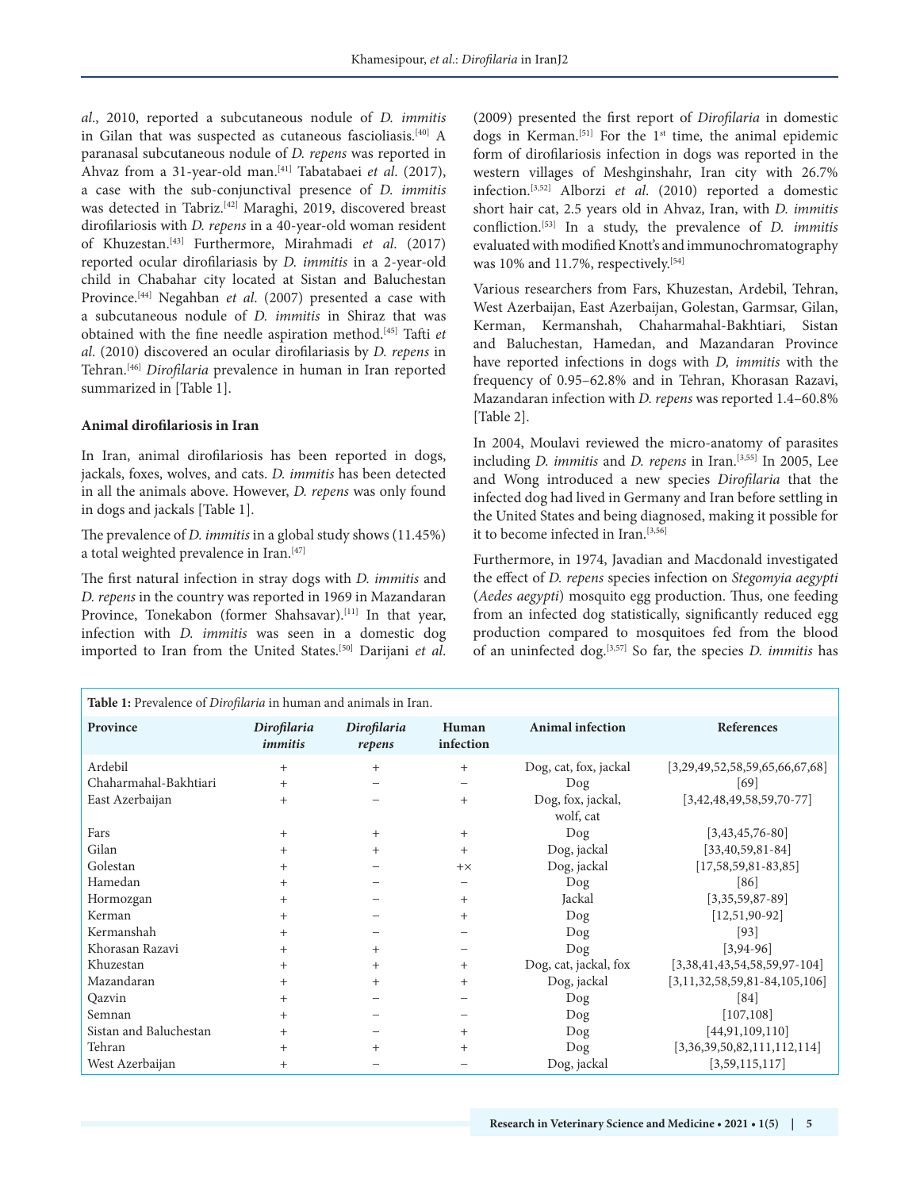*al*., 2010, reported a subcutaneous nodule of *D. immitis*  in Gilan that was suspected as cutaneous fascioliasis.<sup>[40]</sup> A paranasal subcutaneous nodule of *D. repens* was reported in Ahvaz from a 31-year-old man.[41] Tabatabaei *et al*. (2017), a case with the sub-conjunctival presence of *D. immitis* was detected in Tabriz.[42] Maraghi, 2019, discovered breast dirofilariosis with *D. repens* in a 40-year-old woman resident of Khuzestan.[43] Furthermore, Mirahmadi *et al*. (2017) reported ocular dirofilariasis by *D. immitis* in a 2-year-old child in Chabahar city located at Sistan and Baluchestan Province.[44] Negahban *et al*. (2007) presented a case with a subcutaneous nodule of *D. immitis* in Shiraz that was obtained with the fine needle aspiration method.[45] Tafti *et al*. (2010) discovered an ocular dirofilariasis by *D. repens* in Tehran.[46] *Dirofilaria* prevalence in human in Iran reported summarized in [Table 1].

#### **Animal dirofilariosis in Iran**

In Iran, animal dirofilariosis has been reported in dogs, jackals, foxes, wolves, and cats. *D. immitis* has been detected in all the animals above. However, *D. repens* was only found in dogs and jackals [Table 1].

The prevalence of *D. immitis* in a global study shows (11.45%) a total weighted prevalence in Iran.<sup>[47]</sup>

The first natural infection in stray dogs with *D. immitis* and *D. repens* in the country was reported in 1969 in Mazandaran Province, Tonekabon (former Shahsavar).<sup>[11]</sup> In that year, infection with *D. immitis* was seen in a domestic dog imported to Iran from the United States.[50] Darijani *et al*. (2009) presented the first report of *Dirofilaria* in domestic dogs in Kerman.<sup>[51]</sup> For the 1<sup>st</sup> time, the animal epidemic form of dirofilariosis infection in dogs was reported in the western villages of Meshginshahr, Iran city with 26.7% infection.[3,52] Alborzi *et al*. (2010) reported a domestic short hair cat, 2.5 years old in Ahvaz, Iran, with *D. immitis* confliction.[53] In a study, the prevalence of *D. immitis* evaluated with modified Knott's and immunochromatography was 10% and 11.7%, respectively.<sup>[54]</sup>

Various researchers from Fars, Khuzestan, Ardebil, Tehran, West Azerbaijan, East Azerbaijan, Golestan, Garmsar, Gilan, Kerman, Kermanshah, Chaharmahal-Bakhtiari, Sistan and Baluchestan, Hamedan, and Mazandaran Province have reported infections in dogs with *D, immitis* with the frequency of 0.95–62.8% and in Tehran, Khorasan Razavi, Mazandaran infection with *D. repens* was reported 1.4–60.8% [Table 2].

In 2004, Moulavi reviewed the micro-anatomy of parasites including *D. immitis* and *D. repens* in Iran.[3,55] In 2005, Lee and Wong introduced a new species *Dirofilaria* that the infected dog had lived in Germany and Iran before settling in the United States and being diagnosed, making it possible for it to become infected in Iran.[3,56]

Furthermore, in 1974, Javadian and Macdonald investigated the effect of *D. repens* species infection on *Stegomyia aegypti* (*Aedes aegypti*) mosquito egg production. Thus, one feeding from an infected dog statistically, significantly reduced egg production compared to mosquitoes fed from the blood of an uninfected dog.[3,57] So far, the species *D. immitis* has

| Table 1: Prevalence of Dirofilaria in human and animals in Iran. |                               |                       |                    |                         |                                 |
|------------------------------------------------------------------|-------------------------------|-----------------------|--------------------|-------------------------|---------------------------------|
| Province                                                         | Dirofilaria<br><i>immitis</i> | Dirofilaria<br>repens | Human<br>infection | <b>Animal infection</b> | References                      |
| Ardebil                                                          | $^{+}$                        | $^{+}$                | $^{+}$             | Dog, cat, fox, jackal   | [3,29,49,52,58,59,65,66,67,68]  |
| Chaharmahal-Bakhtiari                                            |                               |                       |                    | Dog                     | [69]                            |
| East Azerbaijan                                                  |                               |                       | $+$                | Dog, fox, jackal,       | $[3,42,48,49,58,59,70-77]$      |
|                                                                  |                               |                       |                    | wolf, cat               |                                 |
| Fars                                                             | $^+$                          | $^{+}$                | $+$                | Dog                     | $[3,43,45,76-80]$               |
| Gilan                                                            |                               | $^{+}$                | $^{+}$             | Dog, jackal             | $[33,40,59,81-84]$              |
| Golestan                                                         |                               |                       | $+ \times$         | Dog, jackal             | $[17, 58, 59, 81 - 83, 85]$     |
| Hamedan                                                          |                               |                       |                    | Dog                     | [86]                            |
| Hormozgan                                                        |                               |                       | $^{+}$             | Jackal                  | $[3,35,59,87-89]$               |
| Kerman                                                           |                               |                       | $^{+}$             | Dog                     | $[12, 51, 90-92]$               |
| Kermanshah                                                       |                               |                       |                    | Dog                     | $[93]$                          |
| Khorasan Razavi                                                  |                               | $^{+}$                |                    | Dog                     | $[3, 94 - 96]$                  |
| Khuzestan                                                        |                               | $^{+}$                | $^{+}$             | Dog, cat, jackal, fox   | $[3,38,41,43,54,58,59,97-104]$  |
| Mazandaran                                                       |                               | $^{+}$                | $^{+}$             | Dog, jackal             | $[3,11,32,58,59,81-84,105,106]$ |
| Qazvin                                                           | $^+$                          |                       |                    | Dog                     | [84]                            |
| Semnan                                                           | $^+$                          |                       |                    | Dog                     | [107, 108]                      |
| Sistan and Baluchestan                                           |                               |                       | $^{+}$             | Dog                     | [44, 91, 109, 110]              |
| Tehran                                                           |                               | $^{+}$                | $^{+}$             | Dog                     | [3,36,39,50,82,111,112,114]     |
| West Azerbaijan                                                  | $^+$                          |                       |                    | Dog, jackal             | [3,59,115,117]                  |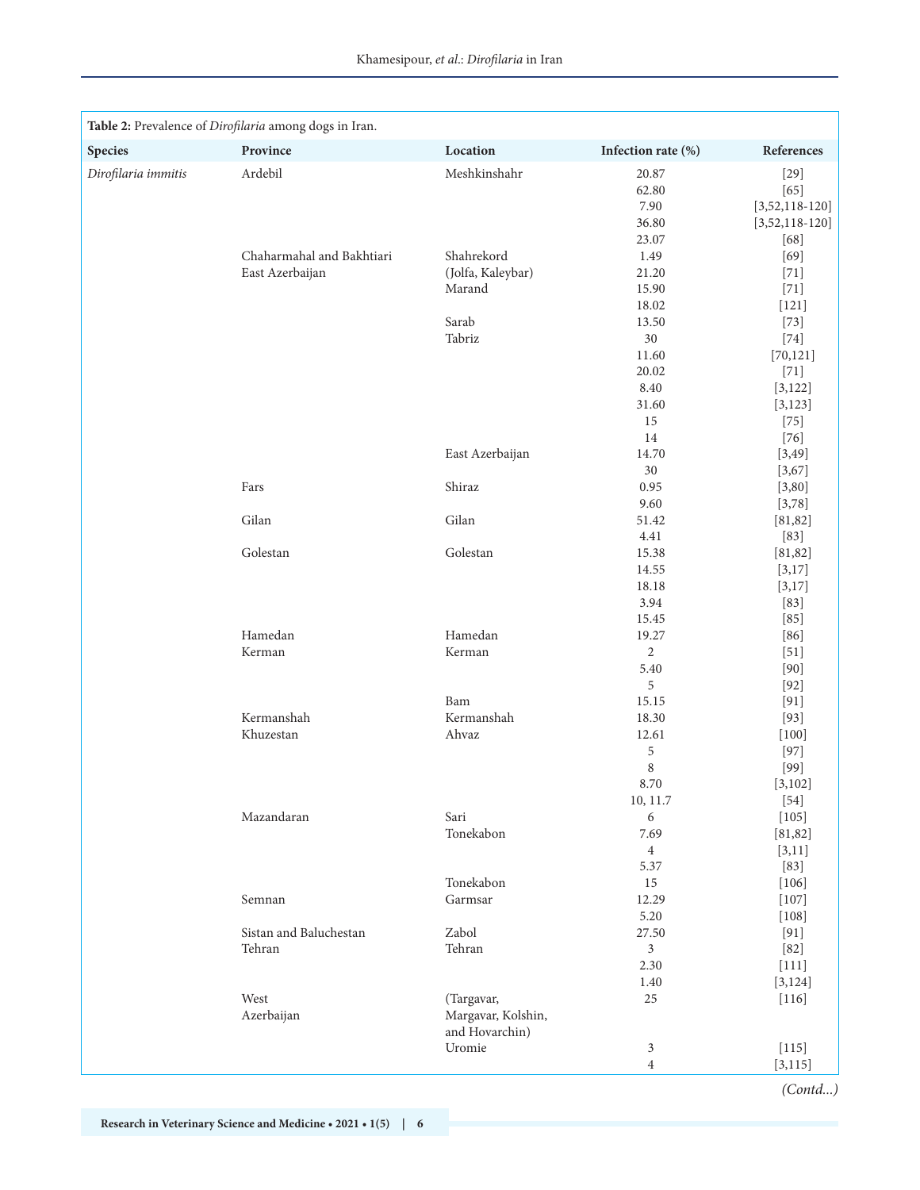|                     | Table 2: Prevalence of Dirofilaria among dogs in Iran. |                    |                         |                     |
|---------------------|--------------------------------------------------------|--------------------|-------------------------|---------------------|
| <b>Species</b>      | Province                                               | Location           | Infection rate (%)      | References          |
| Dirofilaria immitis | Ardebil                                                | Meshkinshahr       | 20.87                   | $[29]$              |
|                     |                                                        |                    | 62.80                   | $[65]$              |
|                     |                                                        |                    | 7.90                    | $[3,52,118-120]$    |
|                     |                                                        |                    | 36.80                   | $[3,52,118-120]$    |
|                     |                                                        |                    | 23.07                   | $[68]$              |
|                     | Chaharmahal and Bakhtiari                              | Shahrekord         | 1.49                    | $[69]$              |
|                     | East Azerbaijan                                        | (Jolfa, Kaleybar)  | 21.20                   | $[71]$              |
|                     |                                                        | Marand             | 15.90                   | $[71]$              |
|                     |                                                        |                    | 18.02                   | $[121]$             |
|                     |                                                        | Sarab<br>Tabriz    | 13.50<br>30             | $[73]$              |
|                     |                                                        |                    | 11.60                   | $[74]$<br>[70, 121] |
|                     |                                                        |                    | 20.02                   | $[71]$              |
|                     |                                                        |                    | 8.40                    | [3, 122]            |
|                     |                                                        |                    | 31.60                   | [3, 123]            |
|                     |                                                        |                    | 15                      | $[75]$              |
|                     |                                                        |                    | 14                      | $[76]$              |
|                     |                                                        | East Azerbaijan    | 14.70                   | [3, 49]             |
|                     |                                                        |                    | 30                      | [3,67]              |
|                     | Fars                                                   | Shiraz             | 0.95                    | [3, 80]             |
|                     |                                                        |                    | 9.60                    | [3,78]              |
|                     | Gilan                                                  | Gilan              | 51.42                   | [81, 82]            |
|                     |                                                        |                    | 4.41                    | $[83]$              |
|                     | Golestan                                               | Golestan           | 15.38                   | [81, 82]            |
|                     |                                                        |                    | 14.55                   | [3,17]              |
|                     |                                                        |                    | 18.18                   | [3,17]              |
|                     |                                                        |                    | 3.94                    | $[83]$              |
|                     |                                                        |                    | 15.45                   | $[85]$              |
|                     | Hamedan                                                | Hamedan            | 19.27                   | $[86]$              |
|                     | Kerman                                                 | Kerman             | $\overline{2}$          | $[51]$              |
|                     |                                                        |                    | 5.40                    | [90]                |
|                     |                                                        |                    | 5                       | $[92]$              |
|                     |                                                        | Bam                | 15.15                   | [91]                |
|                     | Kermanshah                                             | Kermanshah         | 18.30                   | $[93]$              |
|                     | Khuzestan                                              | Ahvaz              | 12.61                   | $[100]$             |
|                     |                                                        |                    | 5                       | $[97]$              |
|                     |                                                        |                    | 8                       | $[99]$              |
|                     |                                                        |                    | 8.70                    | [3, 102]            |
|                     | Mazandaran                                             | Sari               | 10, 11.7<br>6           | $[54]$<br>$[105]$   |
|                     |                                                        | Tonekabon          | 7.69                    | [81, 82]            |
|                     |                                                        |                    | $\overline{4}$          | [3, 11]             |
|                     |                                                        |                    | 5.37                    | $[83]$              |
|                     |                                                        | Tonekabon          | 15                      | $[106]$             |
|                     | Semnan                                                 | Garmsar            | 12.29                   | $[107]$             |
|                     |                                                        |                    | 5.20                    | $[108]$             |
|                     | Sistan and Baluchestan                                 | Zabol              | 27.50                   | [91]                |
|                     | Tehran                                                 | Tehran             | 3                       | $[82]$              |
|                     |                                                        |                    | 2.30                    | $[111]$             |
|                     |                                                        |                    | 1.40                    | [3, 124]            |
|                     | West                                                   | (Targavar,         | 25                      | $[116]$             |
|                     | Azerbaijan                                             | Margavar, Kolshin, |                         |                     |
|                     |                                                        | and Hovarchin)     |                         |                     |
|                     |                                                        | Uromie             | 3                       | $[115]$             |
|                     |                                                        |                    | $\overline{\mathbf{4}}$ | [3, 115]            |
|                     |                                                        |                    |                         | (Contd)             |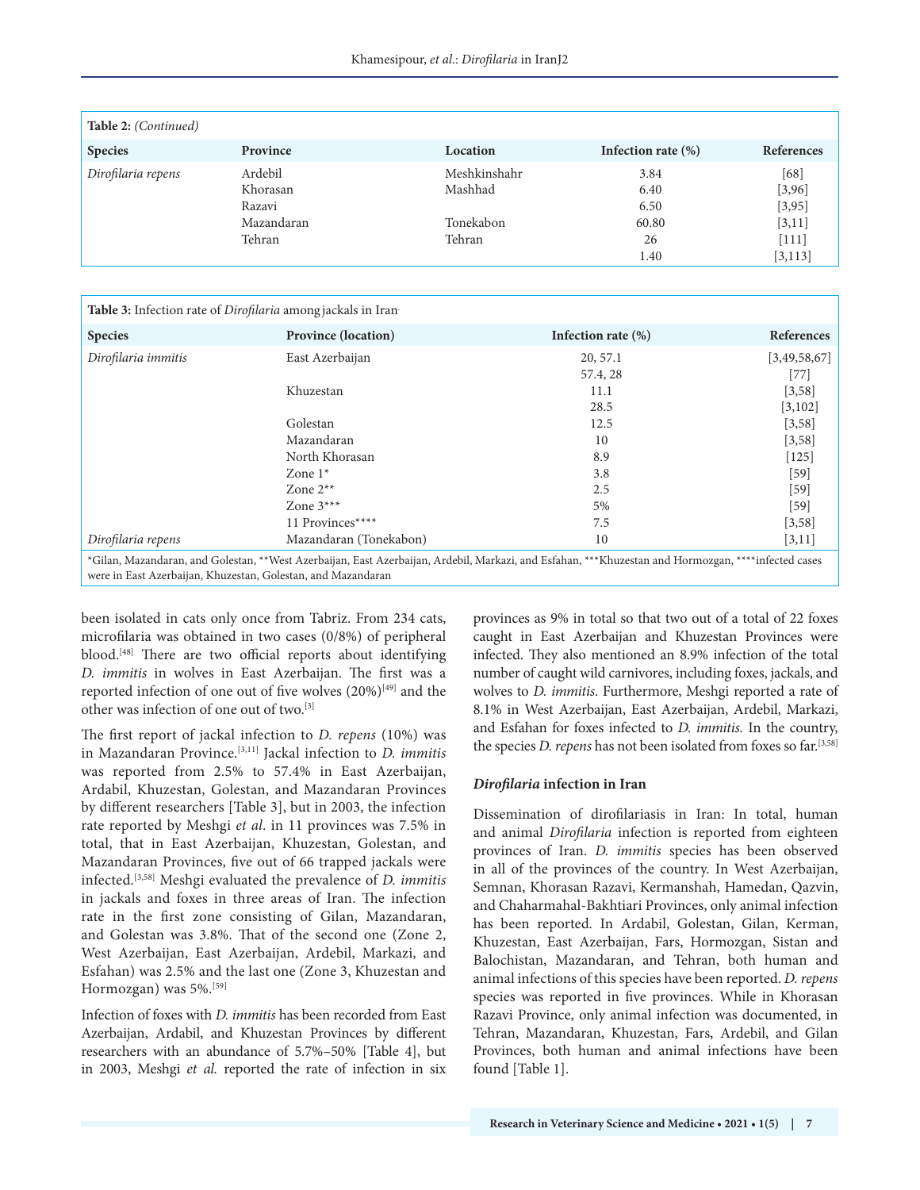| <b>Table 2:</b> (Continued) |                                                       |                                                |                                             |                                                             |
|-----------------------------|-------------------------------------------------------|------------------------------------------------|---------------------------------------------|-------------------------------------------------------------|
| <b>Species</b>              | Province                                              | Location                                       | Infection rate $(\%)$                       | <b>References</b>                                           |
| Dirofilaria repens          | Ardebil<br>Khorasan<br>Razavi<br>Mazandaran<br>Tehran | Meshkinshahr<br>Mashhad<br>Tonekabon<br>Tehran | 3.84<br>6.40<br>6.50<br>60.80<br>26<br>1.40 | [68]<br>[3,96]<br>[3, 95]<br>[3, 11]<br>$[111]$<br>[3, 113] |

| <b>Table 3:</b> Infection rate of <i>Dirofilaria</i> among jackals in Iran |                                                                                                                                                     |                       |              |
|----------------------------------------------------------------------------|-----------------------------------------------------------------------------------------------------------------------------------------------------|-----------------------|--------------|
| <b>Species</b>                                                             | <b>Province (location)</b>                                                                                                                          | Infection rate $(\%)$ | References   |
| Dirofilaria immitis                                                        | East Azerbaijan                                                                                                                                     | 20, 57.1              | [3,49,58,67] |
|                                                                            |                                                                                                                                                     | 57.4, 28              | $[77]$       |
|                                                                            | Khuzestan                                                                                                                                           | 11.1                  | [3,58]       |
|                                                                            |                                                                                                                                                     | 28.5                  | [3,102]      |
|                                                                            | Golestan                                                                                                                                            | 12.5                  | [3,58]       |
|                                                                            | Mazandaran                                                                                                                                          | 10                    | [3, 58]      |
|                                                                            | North Khorasan                                                                                                                                      | 8.9                   | $[125]$      |
|                                                                            | Zone $1^*$                                                                                                                                          | 3.8                   | $[59]$       |
|                                                                            | Zone $2**$                                                                                                                                          | 2.5                   | $[59]$       |
|                                                                            | Zone $3***$                                                                                                                                         | 5%                    | $[59]$       |
|                                                                            | 11 Provinces****                                                                                                                                    | 7.5                   | [3,58]       |
| Dirofilaria repens                                                         | Mazandaran (Tonekabon)                                                                                                                              | 10                    | [3, 11]      |
| were in East Azerbaijan, Khuzestan, Golestan, and Mazandaran               | *Gilan, Mazandaran, and Golestan, **West Azerbaijan, East Azerbaijan, Ardebil, Markazi, and Esfahan, ***Khuzestan and Hormozgan, ****infected cases |                       |              |

been isolated in cats only once from Tabriz. From 234 cats, microfilaria was obtained in two cases (0/8%) of peripheral blood.<sup>[48]</sup> There are two official reports about identifying *D. immitis* in wolves in East Azerbaijan. The first was a reported infection of one out of five wolves  $(20\%)^{[49]}$  and the other was infection of one out of two.[3]

The first report of jackal infection to *D. repens* (10%) was in Mazandaran Province.[3,11] Jackal infection to *D. immitis*  was reported from 2.5% to 57.4% in East Azerbaijan, Ardabil, Khuzestan, Golestan, and Mazandaran Provinces by different researchers [Table 3], but in 2003, the infection rate reported by Meshgi *et al*. in 11 provinces was 7.5% in total, that in East Azerbaijan, Khuzestan, Golestan, and Mazandaran Provinces, five out of 66 trapped jackals were infected.[3,58] Meshgi evaluated the prevalence of *D. immitis*  in jackals and foxes in three areas of Iran. The infection rate in the first zone consisting of Gilan, Mazandaran, and Golestan was 3.8%. That of the second one (Zone 2, West Azerbaijan, East Azerbaijan, Ardebil, Markazi, and Esfahan) was 2.5% and the last one (Zone 3, Khuzestan and Hormozgan) was 5%.[59]

Infection of foxes with *D. immitis* has been recorded from East Azerbaijan, Ardabil, and Khuzestan Provinces by different researchers with an abundance of 5.7%–50% [Table 4], but in 2003, Meshgi *et al.* reported the rate of infection in six provinces as 9% in total so that two out of a total of 22 foxes caught in East Azerbaijan and Khuzestan Provinces were infected. They also mentioned an 8.9% infection of the total number of caught wild carnivores, including foxes, jackals, and wolves to *D. immitis*. Furthermore, Meshgi reported a rate of 8.1% in West Azerbaijan, East Azerbaijan, Ardebil, Markazi, and Esfahan for foxes infected to *D. immitis.* In the country, the species *D. repens* has not been isolated from foxes so far.[3,58]

#### *Dirofilaria* **infection in Iran**

Dissemination of dirofilariasis in Iran: In total, human and animal *Dirofilaria* infection is reported from eighteen provinces of Iran. *D. immitis* species has been observed in all of the provinces of the country. In West Azerbaijan, Semnan, Khorasan Razavi, Kermanshah, Hamedan, Qazvin, and Chaharmahal-Bakhtiari Provinces, only animal infection has been reported. In Ardabil, Golestan, Gilan, Kerman, Khuzestan, East Azerbaijan, Fars, Hormozgan, Sistan and Balochistan, Mazandaran, and Tehran, both human and animal infections of this species have been reported. *D. repens* species was reported in five provinces. While in Khorasan Razavi Province, only animal infection was documented, in Tehran, Mazandaran, Khuzestan, Fars, Ardebil, and Gilan Provinces, both human and animal infections have been found [Table 1].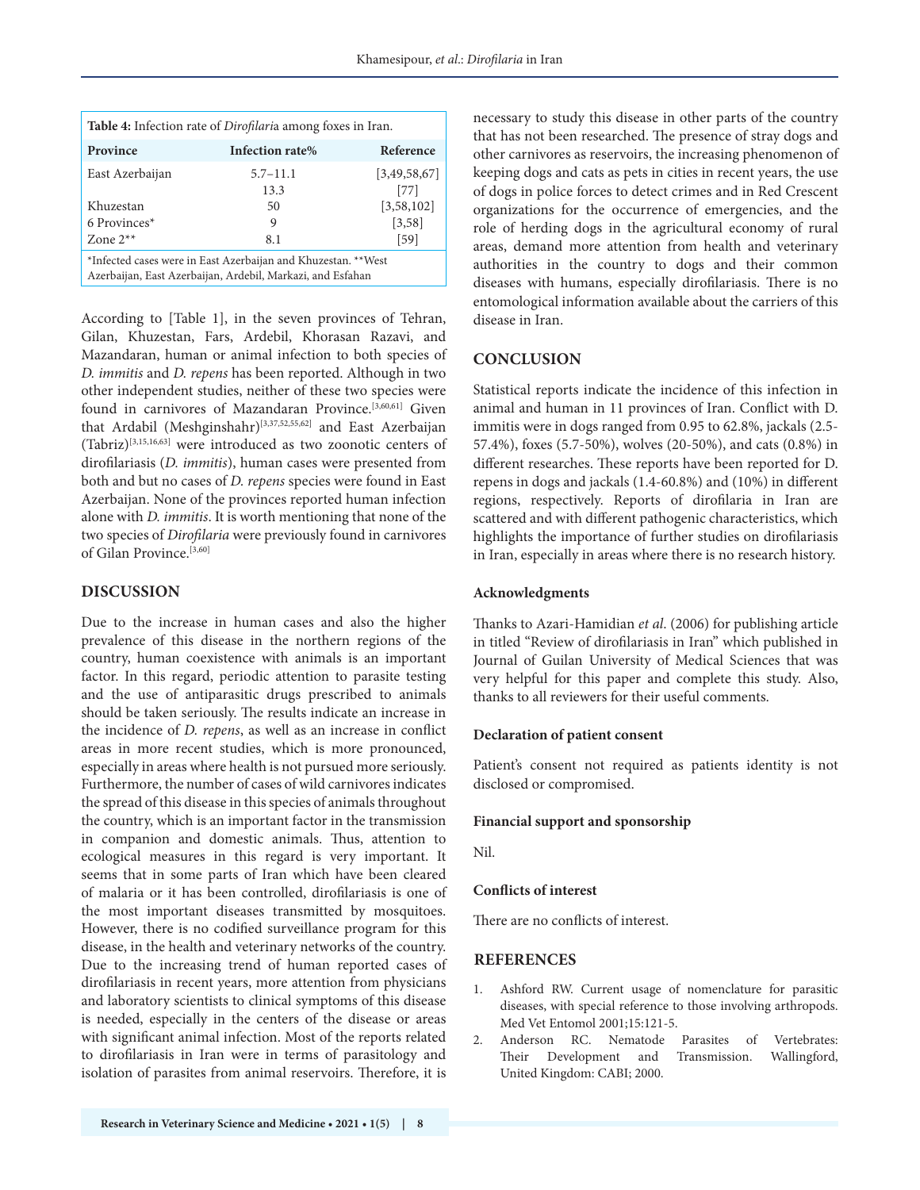| <b>Table 4:</b> Infection rate of <i>Dirofilaria</i> among foxes in Iran.                                                   |                 |              |  |  |
|-----------------------------------------------------------------------------------------------------------------------------|-----------------|--------------|--|--|
| Province                                                                                                                    | Infection rate% | Reference    |  |  |
| East Azerbaijan                                                                                                             | $5.7 - 11.1$    | [3,49,58,67] |  |  |
|                                                                                                                             | 13.3            | [77]         |  |  |
| Khuzestan                                                                                                                   | 50              | [3,58,102]   |  |  |
| 6 Provinces*                                                                                                                | 9               | [3,58]       |  |  |
| Zone $2**$                                                                                                                  | 8.1             | $[59]$       |  |  |
| *Infected cases were in East Azerbaijan and Khuzestan. **West<br>Azerbaijan, East Azerbaijan, Ardebil, Markazi, and Esfahan |                 |              |  |  |

According to [Table 1], in the seven provinces of Tehran, Gilan, Khuzestan, Fars, Ardebil, Khorasan Razavi, and Mazandaran, human or animal infection to both species of *D. immitis* and *D. repens* has been reported. Although in two other independent studies, neither of these two species were found in carnivores of Mazandaran Province.<sup>[3,60,61]</sup> Given that Ardabil (Meshginshahr)[3,37,52,55,62] and East Azerbaijan (Tabriz)[3,15,16,63] were introduced as two zoonotic centers of dirofilariasis (*D. immitis*), human cases were presented from both and but no cases of *D. repens* species were found in East Azerbaijan. None of the provinces reported human infection alone with *D. immitis*. It is worth mentioning that none of the two species of *Dirofilaria* were previously found in carnivores of Gilan Province.<sup>[3,60]</sup>

## **DISCUSSION**

Due to the increase in human cases and also the higher prevalence of this disease in the northern regions of the country, human coexistence with animals is an important factor. In this regard, periodic attention to parasite testing and the use of antiparasitic drugs prescribed to animals should be taken seriously. The results indicate an increase in the incidence of *D. repens*, as well as an increase in conflict areas in more recent studies, which is more pronounced, especially in areas where health is not pursued more seriously. Furthermore, the number of cases of wild carnivores indicates the spread of this disease in this species of animals throughout the country, which is an important factor in the transmission in companion and domestic animals. Thus, attention to ecological measures in this regard is very important. It seems that in some parts of Iran which have been cleared of malaria or it has been controlled, dirofilariasis is one of the most important diseases transmitted by mosquitoes. However, there is no codified surveillance program for this disease, in the health and veterinary networks of the country. Due to the increasing trend of human reported cases of dirofilariasis in recent years, more attention from physicians and laboratory scientists to clinical symptoms of this disease is needed, especially in the centers of the disease or areas with significant animal infection. Most of the reports related to dirofilariasis in Iran were in terms of parasitology and isolation of parasites from animal reservoirs. Therefore, it is

necessary to study this disease in other parts of the country that has not been researched. The presence of stray dogs and other carnivores as reservoirs, the increasing phenomenon of keeping dogs and cats as pets in cities in recent years, the use of dogs in police forces to detect crimes and in Red Crescent organizations for the occurrence of emergencies, and the role of herding dogs in the agricultural economy of rural areas, demand more attention from health and veterinary authorities in the country to dogs and their common diseases with humans, especially dirofilariasis. There is no entomological information available about the carriers of this disease in Iran.

# **CONCLUSION**

Statistical reports indicate the incidence of this infection in animal and human in 11 provinces of Iran. Conflict with D. immitis were in dogs ranged from 0.95 to 62.8%, jackals (2.5- 57.4%), foxes (5.7-50%), wolves (20-50%), and cats (0.8%) in different researches. These reports have been reported for D. repens in dogs and jackals (1.4-60.8%) and (10%) in different regions, respectively. Reports of dirofilaria in Iran are scattered and with different pathogenic characteristics, which highlights the importance of further studies on dirofilariasis in Iran, especially in areas where there is no research history.

#### **Acknowledgments**

Thanks to Azari-Hamidian *et al*. (2006) for publishing article in titled "Review of dirofilariasis in Iran" which published in Journal of Guilan University of Medical Sciences that was very helpful for this paper and complete this study. Also, thanks to all reviewers for their useful comments.

#### **Declaration of patient consent**

Patient's consent not required as patients identity is not disclosed or compromised.

#### **Financial support and sponsorship**

Nil.

#### **Conflicts of interest**

There are no conflicts of interest.

# **REFERENCES**

- 1. Ashford RW. Current usage of nomenclature for parasitic diseases, with special reference to those involving arthropods. Med Vet Entomol 2001;15:121-5.
- 2. Anderson RC. Nematode Parasites of Vertebrates: Their Development and Transmission. Wallingford, United Kingdom: CABI; 2000.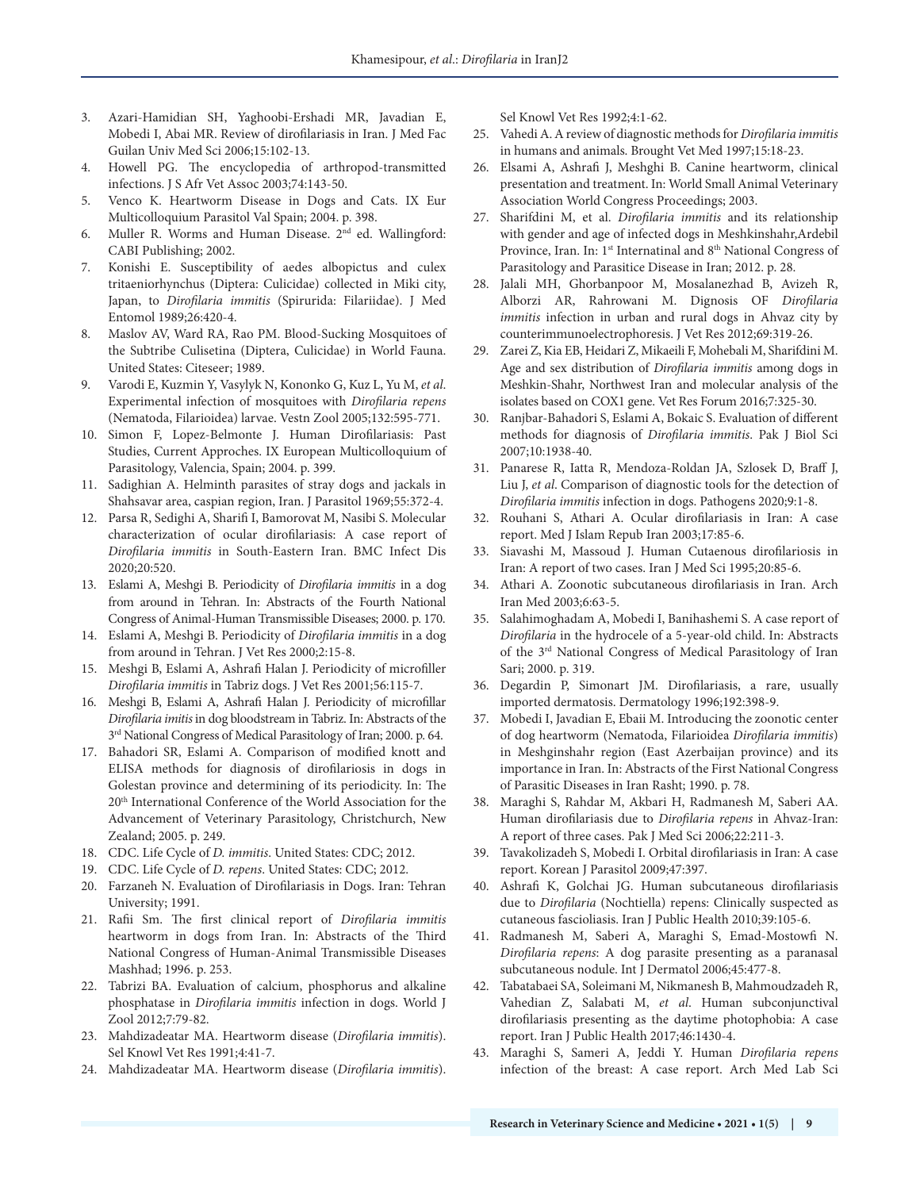- 3. Azari-Hamidian SH, Yaghoobi-Ershadi MR, Javadian E, Mobedi I, Abai MR. Review of dirofilariasis in Iran. J Med Fac Guilan Univ Med Sci 2006;15:102-13.
- 4. Howell PG. The encyclopedia of arthropod-transmitted infections. J S Afr Vet Assoc 2003;74:143-50.
- 5. Venco K. Heartworm Disease in Dogs and Cats. IX Eur Multicolloquium Parasitol Val Spain; 2004. p. 398.
- 6. Muller R. Worms and Human Disease. 2nd ed. Wallingford: CABI Publishing; 2002.
- 7. Konishi E. Susceptibility of aedes albopictus and culex tritaeniorhynchus (Diptera: Culicidae) collected in Miki city, Japan, to *Dirofilaria immitis* (Spirurida: Filariidae). J Med Entomol 1989;26:420-4.
- 8. Maslov AV, Ward RA, Rao PM. Blood-Sucking Mosquitoes of the Subtribe Culisetina (Diptera, Culicidae) in World Fauna. United States: Citeseer; 1989.
- 9. Varodi E, Kuzmin Y, Vasylyk N, Kononko G, Kuz L, Yu M, *et al*. Experimental infection of mosquitoes with *Dirofilaria repens* (Nematoda, Filarioidea) larvae. Vestn Zool 2005;132:595-771.
- 10. Simon F, Lopez-Belmonte J. Human Dirofilariasis: Past Studies, Current Approches. IX European Multicolloquium of Parasitology, Valencia, Spain; 2004. p. 399.
- 11. Sadighian A. Helminth parasites of stray dogs and jackals in Shahsavar area, caspian region, Iran. J Parasitol 1969;55:372-4.
- 12. Parsa R, Sedighi A, Sharifi I, Bamorovat M, Nasibi S. Molecular characterization of ocular dirofilariasis: A case report of *Dirofilaria immitis* in South-Eastern Iran. BMC Infect Dis 2020;20:520.
- 13. Eslami A, Meshgi B. Periodicity of *Dirofilaria immitis* in a dog from around in Tehran. In: Abstracts of the Fourth National Congress of Animal-Human Transmissible Diseases; 2000. p. 170.
- 14. Eslami A, Meshgi B. Periodicity of *Dirofilaria immitis* in a dog from around in Tehran. J Vet Res 2000;2:15-8.
- 15. Meshgi B, Eslami A, Ashrafi Halan J. Periodicity of microfiller *Dirofilaria immitis* in Tabriz dogs. J Vet Res 2001;56:115-7.
- 16. Meshgi B, Eslami A, Ashrafi Halan J. Periodicity of microfillar *Dirofilaria imitis* in dog bloodstream in Tabriz. In: Abstracts of the 3rd National Congress of Medical Parasitology of Iran; 2000. p. 64.
- 17. Bahadori SR, Eslami A. Comparison of modified knott and ELISA methods for diagnosis of dirofilariosis in dogs in Golestan province and determining of its periodicity. In: The 20th International Conference of the World Association for the Advancement of Veterinary Parasitology, Christchurch, New Zealand; 2005. p. 249.
- 18. CDC. Life Cycle of *D. immitis*. United States: CDC; 2012.
- 19. CDC. Life Cycle of *D. repens*. United States: CDC; 2012.
- 20. Farzaneh N. Evaluation of Dirofilariasis in Dogs. Iran: Tehran University; 1991.
- 21. Rafii Sm. The first clinical report of *Dirofilaria immitis* heartworm in dogs from Iran. In: Abstracts of the Third National Congress of Human-Animal Transmissible Diseases Mashhad; 1996. p. 253.
- 22. Tabrizi BA. Evaluation of calcium, phosphorus and alkaline phosphatase in *Dirofilaria immitis* infection in dogs. World J Zool 2012;7:79-82.
- 23. Mahdizadeatar MA. Heartworm disease (*Dirofilaria immitis*). Sel Knowl Vet Res 1991;4:41-7.
- 24. Mahdizadeatar MA. Heartworm disease (*Dirofilaria immitis*).

Sel Knowl Vet Res 1992;4:1-62.

- 25. Vahedi A. A review of diagnostic methods for *Dirofilaria immitis* in humans and animals. Brought Vet Med 1997;15:18-23.
- 26. Elsami A, Ashrafi J, Meshghi B. Canine heartworm, clinical presentation and treatment. In: World Small Animal Veterinary Association World Congress Proceedings; 2003.
- 27. Sharifdini M, et al. *Dirofilaria immitis* and its relationship with gender and age of infected dogs in Meshkinshahr,Ardebil Province, Iran. In: 1<sup>st</sup> Internatinal and 8<sup>th</sup> National Congress of Parasitology and Parasitice Disease in Iran; 2012. p. 28.
- 28. Jalali MH, Ghorbanpoor M, Mosalanezhad B, Avizeh R, Alborzi AR, Rahrowani M. Dignosis OF *Dirofilaria immitis* infection in urban and rural dogs in Ahvaz city by counterimmunoelectrophoresis. J Vet Res 2012;69:319-26.
- 29. Zarei Z, Kia EB, Heidari Z, Mikaeili F, Mohebali M, Sharifdini M. Age and sex distribution of *Dirofilaria immitis* among dogs in Meshkin-Shahr, Northwest Iran and molecular analysis of the isolates based on COX1 gene. Vet Res Forum 2016;7:325-30.
- 30. Ranjbar-Bahadori S, Eslami A, Bokaic S. Evaluation of different methods for diagnosis of *Dirofilaria immitis*. Pak J Biol Sci 2007;10:1938-40.
- 31. Panarese R, Iatta R, Mendoza-Roldan JA, Szlosek D, Braff J, Liu J, *et al*. Comparison of diagnostic tools for the detection of *Dirofilaria immitis* infection in dogs. Pathogens 2020;9:1-8.
- 32. Rouhani S, Athari A. Ocular dirofilariasis in Iran: A case report. Med J Islam Repub Iran 2003;17:85-6.
- 33. Siavashi M, Massoud J. Human Cutaenous dirofilariosis in Iran: A report of two cases. Iran J Med Sci 1995;20:85-6.
- 34. Athari A. Zoonotic subcutaneous dirofilariasis in Iran. Arch Iran Med 2003;6:63-5.
- 35. Salahimoghadam A, Mobedi I, Banihashemi S. A case report of *Dirofilaria* in the hydrocele of a 5-year-old child. In: Abstracts of the 3rd National Congress of Medical Parasitology of Iran Sari; 2000. p. 319.
- 36. Degardin P, Simonart JM. Dirofilariasis, a rare, usually imported dermatosis. Dermatology 1996;192:398-9.
- 37. Mobedi I, Javadian E, Ebaii M. Introducing the zoonotic center of dog heartworm (Nematoda, Filarioidea *Dirofilaria immitis*) in Meshginshahr region (East Azerbaijan province) and its importance in Iran. In: Abstracts of the First National Congress of Parasitic Diseases in Iran Rasht; 1990. p. 78.
- 38. Maraghi S, Rahdar M, Akbari H, Radmanesh M, Saberi AA. Human dirofilariasis due to *Dirofilaria repens* in Ahvaz-Iran: A report of three cases. Pak J Med Sci 2006;22:211-3.
- 39. Tavakolizadeh S, Mobedi I. Orbital dirofilariasis in Iran: A case report. Korean J Parasitol 2009;47:397.
- 40. Ashrafi K, Golchai JG. Human subcutaneous dirofilariasis due to *Dirofilaria* (Nochtiella) repens: Clinically suspected as cutaneous fascioliasis. Iran J Public Health 2010;39:105-6.
- 41. Radmanesh M, Saberi A, Maraghi S, Emad-Mostowfi N. *Dirofilaria repens*: A dog parasite presenting as a paranasal subcutaneous nodule. Int J Dermatol 2006;45:477-8.
- 42. Tabatabaei SA, Soleimani M, Nikmanesh B, Mahmoudzadeh R, Vahedian Z, Salabati M, *et al*. Human subconjunctival dirofilariasis presenting as the daytime photophobia: A case report. Iran J Public Health 2017;46:1430-4.
- 43. Maraghi S, Sameri A, Jeddi Y. Human *Dirofilaria repens* infection of the breast: A case report. Arch Med Lab Sci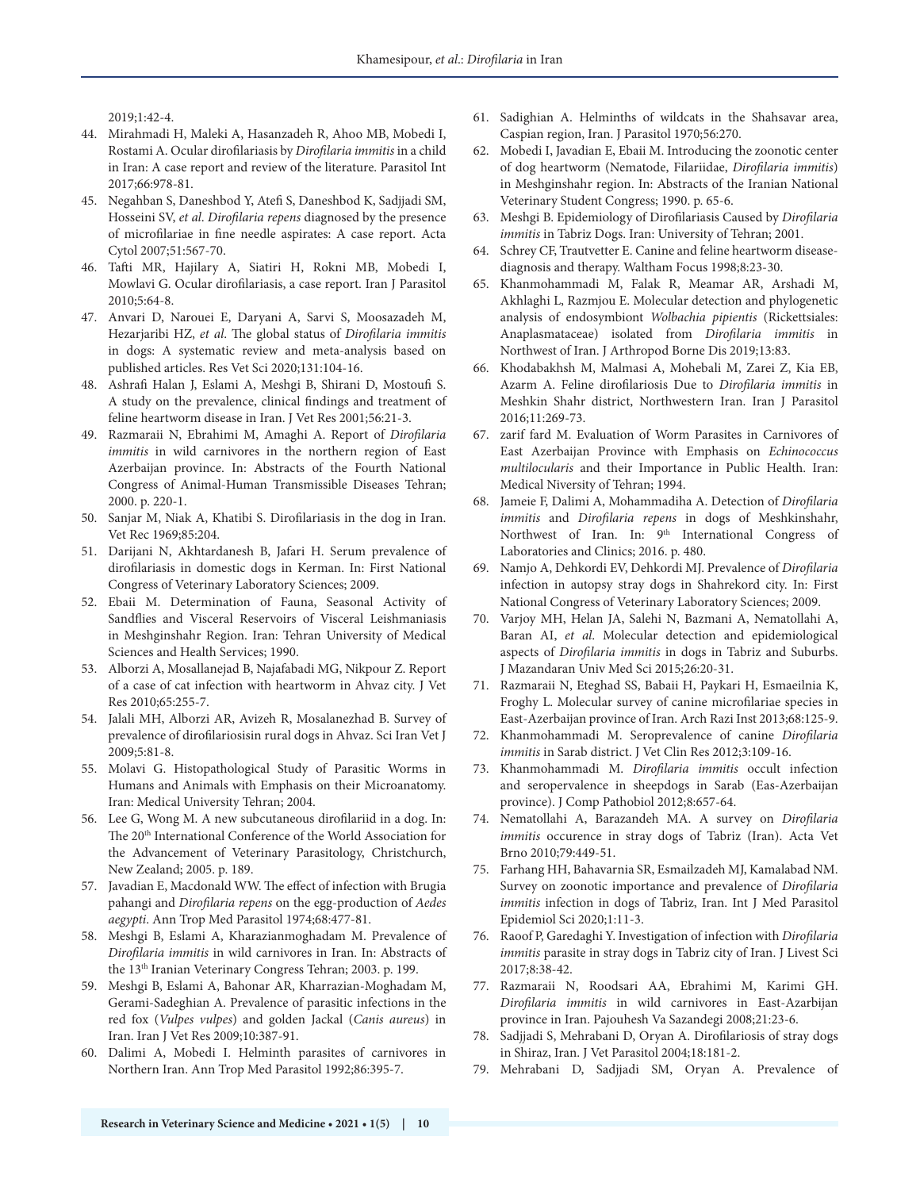2019;1:42-4.

- 44. Mirahmadi H, Maleki A, Hasanzadeh R, Ahoo MB, Mobedi I, Rostami A. Ocular dirofilariasis by *Dirofilaria immitis* in a child in Iran: A case report and review of the literature. Parasitol Int 2017;66:978-81.
- 45. Negahban S, Daneshbod Y, Atefi S, Daneshbod K, Sadjjadi SM, Hosseini SV, *et al*. *Dirofilaria repens* diagnosed by the presence of microfilariae in fine needle aspirates: A case report. Acta Cytol 2007;51:567-70.
- 46. Tafti MR, Hajilary A, Siatiri H, Rokni MB, Mobedi I, Mowlavi G. Ocular dirofilariasis, a case report. Iran J Parasitol 2010;5:64-8.
- 47. Anvari D, Narouei E, Daryani A, Sarvi S, Moosazadeh M, Hezarjaribi HZ, *et al*. The global status of *Dirofilaria immitis* in dogs: A systematic review and meta-analysis based on published articles. Res Vet Sci 2020;131:104-16.
- 48. Ashrafi Halan J, Eslami A, Meshgi B, Shirani D, Mostoufi S. A study on the prevalence, clinical findings and treatment of feline heartworm disease in Iran. J Vet Res 2001;56:21-3.
- 49. Razmaraii N, Ebrahimi M, Amaghi A. Report of *Dirofilaria immitis* in wild carnivores in the northern region of East Azerbaijan province. In: Abstracts of the Fourth National Congress of Animal-Human Transmissible Diseases Tehran; 2000. p. 220-1.
- 50. Sanjar M, Niak A, Khatibi S. Dirofilariasis in the dog in Iran. Vet Rec 1969;85:204.
- 51. Darijani N, Akhtardanesh B, Jafari H. Serum prevalence of dirofilariasis in domestic dogs in Kerman. In: First National Congress of Veterinary Laboratory Sciences; 2009.
- 52. Ebaii M. Determination of Fauna, Seasonal Activity of Sandflies and Visceral Reservoirs of Visceral Leishmaniasis in Meshginshahr Region. Iran: Tehran University of Medical Sciences and Health Services; 1990.
- 53. Alborzi A, Mosallanejad B, Najafabadi MG, Nikpour Z. Report of a case of cat infection with heartworm in Ahvaz city. J Vet Res 2010;65:255-7.
- 54. Jalali MH, Alborzi AR, Avizeh R, Mosalanezhad B. Survey of prevalence of dirofilariosisin rural dogs in Ahvaz. Sci Iran Vet J 2009;5:81-8.
- 55. Molavi G. Histopathological Study of Parasitic Worms in Humans and Animals with Emphasis on their Microanatomy. Iran: Medical University Tehran; 2004.
- 56. Lee G, Wong M. A new subcutaneous dirofilariid in a dog. In: The 20th International Conference of the World Association for the Advancement of Veterinary Parasitology, Christchurch, New Zealand; 2005. p. 189.
- 57. Javadian E, Macdonald WW. The effect of infection with Brugia pahangi and *Dirofilaria repens* on the egg-production of *Aedes aegypti*. Ann Trop Med Parasitol 1974;68:477-81.
- 58. Meshgi B, Eslami A, Kharazianmoghadam M. Prevalence of *Dirofilaria immitis* in wild carnivores in Iran. In: Abstracts of the 13th Iranian Veterinary Congress Tehran; 2003. p. 199.
- 59. Meshgi B, Eslami A, Bahonar AR, Kharrazian-Moghadam M, Gerami-Sadeghian A. Prevalence of parasitic infections in the red fox (*Vulpes vulpes*) and golden Jackal (*Canis aureus*) in Iran. Iran J Vet Res 2009;10:387-91.
- 60. Dalimi A, Mobedi I. Helminth parasites of carnivores in Northern Iran. Ann Trop Med Parasitol 1992;86:395-7.
- 61. Sadighian A. Helminths of wildcats in the Shahsavar area, Caspian region, Iran. J Parasitol 1970;56:270.
- 62. Mobedi I, Javadian E, Ebaii M. Introducing the zoonotic center of dog heartworm (Nematode, Filariidae, *Dirofilaria immitis*) in Meshginshahr region. In: Abstracts of the Iranian National Veterinary Student Congress; 1990. p. 65-6.
- 63. Meshgi B. Epidemiology of Dirofilariasis Caused by *Dirofilaria immitis* in Tabriz Dogs. Iran: University of Tehran; 2001.
- 64. Schrey CF, Trautvetter E. Canine and feline heartworm diseasediagnosis and therapy. Waltham Focus 1998;8:23-30.
- 65. Khanmohammadi M, Falak R, Meamar AR, Arshadi M, Akhlaghi L, Razmjou E. Molecular detection and phylogenetic analysis of endosymbiont *Wolbachia pipientis* (Rickettsiales: Anaplasmataceae) isolated from *Dirofilaria immitis* in Northwest of Iran. J Arthropod Borne Dis 2019;13:83.
- 66. Khodabakhsh M, Malmasi A, Mohebali M, Zarei Z, Kia EB, Azarm A. Feline dirofilariosis Due to *Dirofilaria immitis* in Meshkin Shahr district, Northwestern Iran. Iran J Parasitol 2016;11:269-73.
- 67. zarif fard M. Evaluation of Worm Parasites in Carnivores of East Azerbaijan Province with Emphasis on *Echinococcus multilocularis* and their Importance in Public Health. Iran: Medical Niversity of Tehran; 1994.
- 68. Jameie F, Dalimi A, Mohammadiha A. Detection of *Dirofilaria immitis* and *Dirofilaria repens* in dogs of Meshkinshahr, Northwest of Iran. In: 9<sup>th</sup> International Congress of Laboratories and Clinics; 2016. p. 480.
- 69. Namjo A, Dehkordi EV, Dehkordi MJ. Prevalence of *Dirofilaria* infection in autopsy stray dogs in Shahrekord city. In: First National Congress of Veterinary Laboratory Sciences; 2009.
- 70. Varjoy MH, Helan JA, Salehi N, Bazmani A, Nematollahi A, Baran AI, *et al*. Molecular detection and epidemiological aspects of *Dirofilaria immitis* in dogs in Tabriz and Suburbs. J Mazandaran Univ Med Sci 2015;26:20-31.
- 71. Razmaraii N, Eteghad SS, Babaii H, Paykari H, Esmaeilnia K, Froghy L. Molecular survey of canine microfilariae species in East-Azerbaijan province of Iran. Arch Razi Inst 2013;68:125-9.
- 72. Khanmohammadi M. Seroprevalence of canine *Dirofilaria immitis* in Sarab district. J Vet Clin Res 2012;3:109-16.
- 73. Khanmohammadi M. *Dirofilaria immitis* occult infection and seropervalence in sheepdogs in Sarab (Eas-Azerbaijan province). J Comp Pathobiol 2012;8:657-64.
- 74. Nematollahi A, Barazandeh MA. A survey on *Dirofilaria immitis* occurence in stray dogs of Tabriz (Iran). Acta Vet Brno 2010;79:449-51.
- 75. Farhang HH, Bahavarnia SR, Esmailzadeh MJ, Kamalabad NM. Survey on zoonotic importance and prevalence of *Dirofilaria immitis* infection in dogs of Tabriz, Iran. Int J Med Parasitol Epidemiol Sci 2020;1:11-3.
- 76. Raoof P, Garedaghi Y. Investigation of infection with *Dirofilaria immitis* parasite in stray dogs in Tabriz city of Iran. J Livest Sci 2017;8:38-42.
- 77. Razmaraii N, Roodsari AA, Ebrahimi M, Karimi GH. *Dirofilaria immitis* in wild carnivores in East-Azarbijan province in Iran. Pajouhesh Va Sazandegi 2008;21:23-6.
- 78. Sadjjadi S, Mehrabani D, Oryan A. Dirofilariosis of stray dogs in Shiraz, Iran. J Vet Parasitol 2004;18:181-2.
- 79. Mehrabani D, Sadjjadi SM, Oryan A. Prevalence of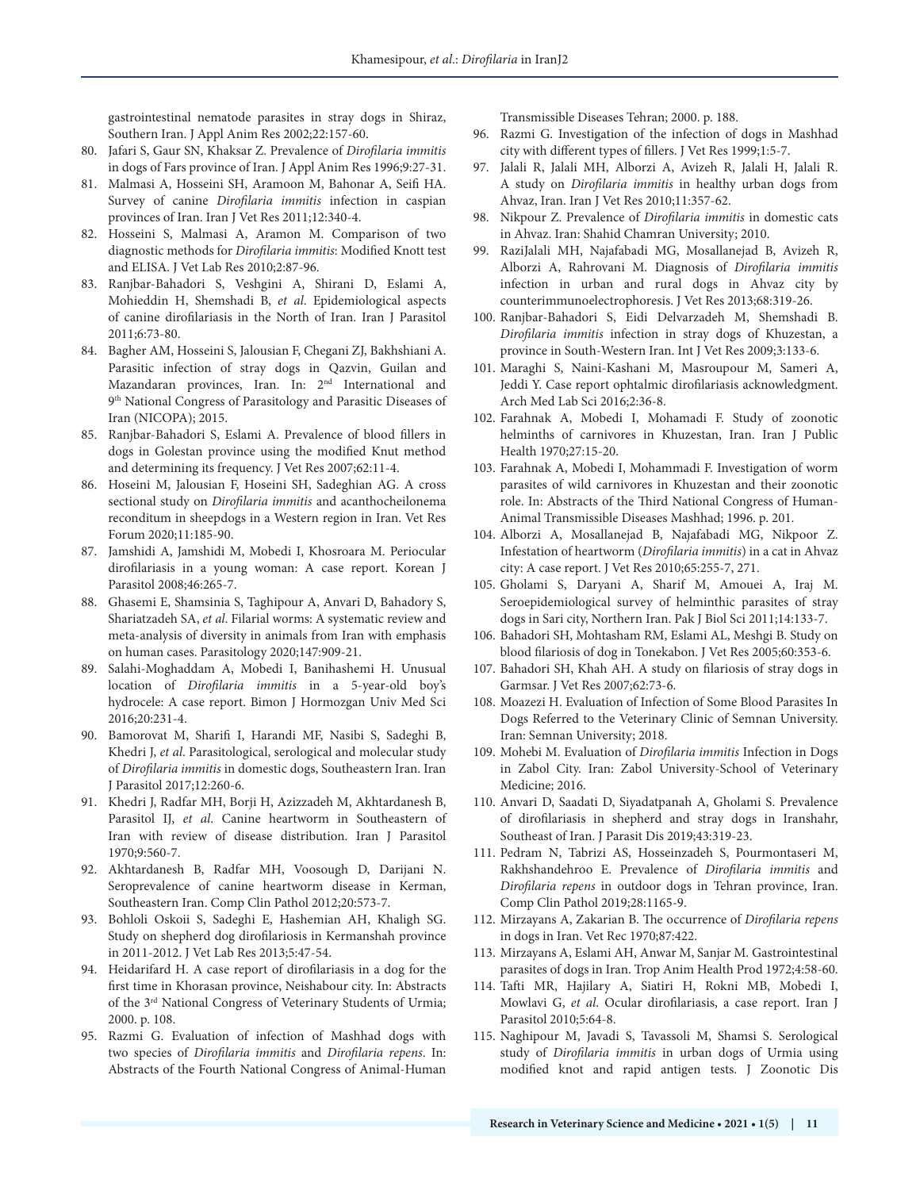gastrointestinal nematode parasites in stray dogs in Shiraz, Southern Iran. J Appl Anim Res 2002;22:157-60.

- 80. Jafari S, Gaur SN, Khaksar Z. Prevalence of *Dirofilaria immitis* in dogs of Fars province of Iran. J Appl Anim Res 1996;9:27-31.
- 81. Malmasi A, Hosseini SH, Aramoon M, Bahonar A, Seifi HA. Survey of canine *Dirofilaria immitis* infection in caspian provinces of Iran. Iran J Vet Res 2011;12:340-4.
- 82. Hosseini S, Malmasi A, Aramon M. Comparison of two diagnostic methods for *Dirofilaria immitis*: Modified Knott test and ELISA. J Vet Lab Res 2010;2:87-96.
- 83. Ranjbar-Bahadori S, Veshgini A, Shirani D, Eslami A, Mohieddin H, Shemshadi B, *et al*. Epidemiological aspects of canine dirofilariasis in the North of Iran. Iran J Parasitol 2011;6:73-80.
- 84. Bagher AM, Hosseini S, Jalousian F, Chegani ZJ, Bakhshiani A. Parasitic infection of stray dogs in Qazvin, Guilan and Mazandaran provinces, Iran. In: 2<sup>nd</sup> International and 9<sup>th</sup> National Congress of Parasitology and Parasitic Diseases of Iran (NICOPA); 2015.
- 85. Ranjbar-Bahadori S, Eslami A. Prevalence of blood fillers in dogs in Golestan province using the modified Knut method and determining its frequency. J Vet Res 2007;62:11-4.
- 86. Hoseini M, Jalousian F, Hoseini SH, Sadeghian AG. A cross sectional study on *Dirofilaria immitis* and acanthocheilonema reconditum in sheepdogs in a Western region in Iran. Vet Res Forum 2020;11:185-90.
- 87. Jamshidi A, Jamshidi M, Mobedi I, Khosroara M. Periocular dirofilariasis in a young woman: A case report. Korean J Parasitol 2008;46:265-7.
- 88. Ghasemi E, Shamsinia S, Taghipour A, Anvari D, Bahadory S, Shariatzadeh SA, *et al*. Filarial worms: A systematic review and meta-analysis of diversity in animals from Iran with emphasis on human cases. Parasitology 2020;147:909-21.
- 89. Salahi-Moghaddam A, Mobedi I, Banihashemi H. Unusual location of *Dirofilaria immitis* in a 5-year-old boy's hydrocele: A case report. Bimon J Hormozgan Univ Med Sci 2016;20:231-4.
- 90. Bamorovat M, Sharifi I, Harandi MF, Nasibi S, Sadeghi B, Khedri J, *et al*. Parasitological, serological and molecular study of *Dirofilaria immitis* in domestic dogs, Southeastern Iran. Iran J Parasitol 2017;12:260-6.
- 91. Khedri J, Radfar MH, Borji H, Azizzadeh M, Akhtardanesh B, Parasitol IJ, *et al*. Canine heartworm in Southeastern of Iran with review of disease distribution. Iran J Parasitol 1970;9:560-7.
- 92. Akhtardanesh B, Radfar MH, Voosough D, Darijani N. Seroprevalence of canine heartworm disease in Kerman, Southeastern Iran. Comp Clin Pathol 2012;20:573-7.
- 93. Bohloli Oskoii S, Sadeghi E, Hashemian AH, Khaligh SG. Study on shepherd dog dirofilariosis in Kermanshah province in 2011-2012. J Vet Lab Res 2013;5:47-54.
- 94. Heidarifard H. A case report of dirofilariasis in a dog for the first time in Khorasan province, Neishabour city. In: Abstracts of the 3rd National Congress of Veterinary Students of Urmia; 2000. p. 108.
- 95. Razmi G. Evaluation of infection of Mashhad dogs with two species of *Dirofilaria immitis* and *Dirofilaria repens*. In: Abstracts of the Fourth National Congress of Animal-Human

Transmissible Diseases Tehran; 2000. p. 188.

- 96. Razmi G. Investigation of the infection of dogs in Mashhad city with different types of fillers. J Vet Res 1999;1:5-7.
- 97. Jalali R, Jalali MH, Alborzi A, Avizeh R, Jalali H, Jalali R. A study on *Dirofilaria immitis* in healthy urban dogs from Ahvaz, Iran. Iran J Vet Res 2010;11:357-62.
- 98. Nikpour Z. Prevalence of *Dirofilaria immitis* in domestic cats in Ahvaz. Iran: Shahid Chamran University; 2010.
- 99. RaziJalali MH, Najafabadi MG, Mosallanejad B, Avizeh R, Alborzi A, Rahrovani M. Diagnosis of *Dirofilaria immitis* infection in urban and rural dogs in Ahvaz city by counterimmunoelectrophoresis. J Vet Res 2013;68:319-26.
- 100. Ranjbar-Bahadori S, Eidi Delvarzadeh M, Shemshadi B. *Dirofilaria immitis* infection in stray dogs of Khuzestan, a province in South-Western Iran. Int J Vet Res 2009;3:133-6.
- 101. Maraghi S, Naini-Kashani M, Masroupour M, Sameri A, Jeddi Y. Case report ophtalmic dirofilariasis acknowledgment. Arch Med Lab Sci 2016;2:36-8.
- 102. Farahnak A, Mobedi I, Mohamadi F. Study of zoonotic helminths of carnivores in Khuzestan, Iran. Iran J Public Health 1970;27:15-20.
- 103. Farahnak A, Mobedi I, Mohammadi F. Investigation of worm parasites of wild carnivores in Khuzestan and their zoonotic role. In: Abstracts of the Third National Congress of Human-Animal Transmissible Diseases Mashhad; 1996. p. 201.
- 104. Alborzi A, Mosallanejad B, Najafabadi MG, Nikpoor Z. Infestation of heartworm (*Dirofilaria immitis*) in a cat in Ahvaz city: A case report. J Vet Res 2010;65:255-7, 271.
- 105. Gholami S, Daryani A, Sharif M, Amouei A, Iraj M. Seroepidemiological survey of helminthic parasites of stray dogs in Sari city, Northern Iran. Pak J Biol Sci 2011;14:133-7.
- 106. Bahadori SH, Mohtasham RM, Eslami AL, Meshgi B. Study on blood filariosis of dog in Tonekabon. J Vet Res 2005;60:353-6.
- 107. Bahadori SH, Khah AH. A study on filariosis of stray dogs in Garmsar. J Vet Res 2007;62:73-6.
- 108. Moazezi H. Evaluation of Infection of Some Blood Parasites In Dogs Referred to the Veterinary Clinic of Semnan University. Iran: Semnan University; 2018.
- 109. Mohebi M. Evaluation of *Dirofilaria immitis* Infection in Dogs in Zabol City. Iran: Zabol University-School of Veterinary Medicine; 2016.
- 110. Anvari D, Saadati D, Siyadatpanah A, Gholami S. Prevalence of dirofilariasis in shepherd and stray dogs in Iranshahr, Southeast of Iran. J Parasit Dis 2019;43:319-23.
- 111. Pedram N, Tabrizi AS, Hosseinzadeh S, Pourmontaseri M, Rakhshandehroo E. Prevalence of *Dirofilaria immitis* and *Dirofilaria repens* in outdoor dogs in Tehran province, Iran. Comp Clin Pathol 2019;28:1165-9.
- 112. Mirzayans A, Zakarian B. The occurrence of *Dirofilaria repens* in dogs in Iran. Vet Rec 1970;87:422.
- 113. Mirzayans A, Eslami AH, Anwar M, Sanjar M. Gastrointestinal parasites of dogs in Iran. Trop Anim Health Prod 1972;4:58-60.
- 114. Tafti MR, Hajilary A, Siatiri H, Rokni MB, Mobedi I, Mowlavi G, *et al*. Ocular dirofilariasis, a case report. Iran J Parasitol 2010;5:64-8.
- 115. Naghipour M, Javadi S, Tavassoli M, Shamsi S. Serological study of *Dirofilaria immitis* in urban dogs of Urmia using modified knot and rapid antigen tests. J Zoonotic Dis